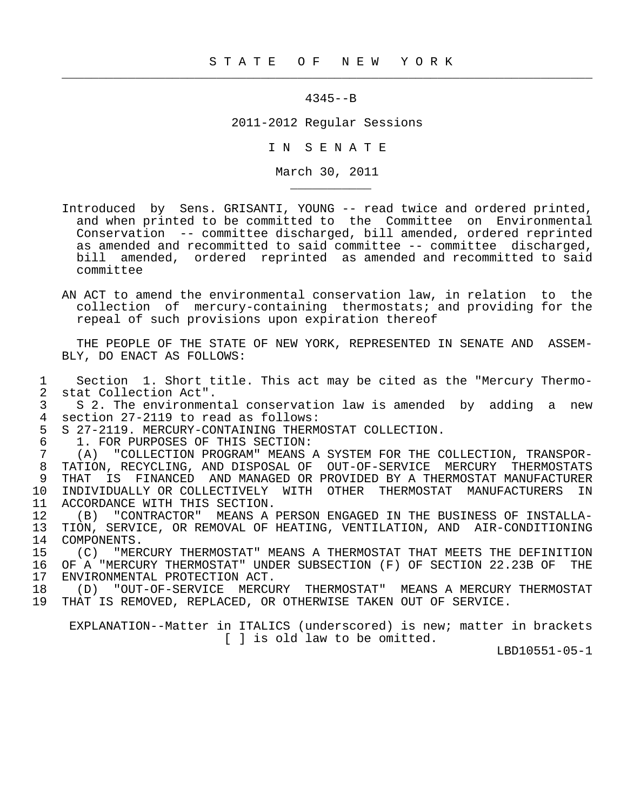$\frac{1}{2}$  , and the contribution of the contribution of the contribution of the contribution of the contribution of the contribution of the contribution of the contribution of the contribution of the contribution of the c

## 4345--B

2011-2012 Regular Sessions

I N S E N A T E

March 30, 2011

- Introduced by Sens. GRISANTI, YOUNG -- read twice and ordered printed, and when printed to be committed to the Committee on Environmental Conservation -- committee discharged, bill amended, ordered reprinted as amended and recommitted to said committee -- committee discharged, bill amended, ordered reprinted as amended and recommitted to said committee
- AN ACT to amend the environmental conservation law, in relation to the collection of mercury-containing thermostats; and providing for the repeal of such provisions upon expiration thereof

 THE PEOPLE OF THE STATE OF NEW YORK, REPRESENTED IN SENATE AND ASSEM- BLY, DO ENACT AS FOLLOWS:

1 Section 1. Short title. This act may be cited as the "Mercury Thermo-<br>2 stat Collection Act". 2 stat Collection Act".<br>3 S 2. The environmen

3 S 2. The environmental conservation law is amended by adding a new<br>4 section 27-2119 to read as follows: 4 section 27-2119 to read as follows:<br>5 S 27-2119. MERCURY-CONTAINING THERM

5 S 27-2119. MERCURY-CONTAINING THERMOSTAT COLLECTION.<br>6 1. FOR PURPOSES OF THIS SECTION:

6 1. FOR PURPOSES OF THIS SECTION:<br>7 (A) "COLLECTION PROGRAM" MEANS

\_\_\_\_\_\_\_\_\_\_\_

 7 (A) "COLLECTION PROGRAM" MEANS A SYSTEM FOR THE COLLECTION, TRANSPOR- 8 TATION, RECYCLING, AND DISPOSAL OF OUT-OF-SERVICE MERCURY THERMOSTATS<br>9 THAT IS FINANCED AND MANAGED OR PROVIDED BY A THERMOSTAT MANUFACTURER 9 THAT IS FINANCED AND MANAGED OR PROVIDED BY A THERMOSTAT MANUFACTURER<br>10 INDIVIDUALLY OR COLLECTIVELY WITH OTHER THERMOSTAT MANUFACTURERS IN 10 INDIVIDUALLY OR COLLECTIVELY WITH OTHER THERMOSTAT MANUFACTURERS IN<br>11 ACCORDANCE WITH THIS SECTION. 11 ACCORDANCE WITH THIS SECTION.<br>12 (B) "CONTRACTOR" MEANS A

12 (B) "CONTRACTOR" MEANS A PERSON ENGAGED IN THE BUSINESS OF INSTALLA-<br>13 TION, SERVICE, OR REMOVAL OF HEATING, VENTILATION, AND AIR-CONDITIONING 13 TION, SERVICE, OR REMOVAL OF HEATING, VENTILATION, AND AIR-CONDITIONING<br>14 COMPONENTS. 14 COMPONENTS.<br>15 (C) "MER

 15 (C) "MERCURY THERMOSTAT" MEANS A THERMOSTAT THAT MEETS THE DEFINITION 16 OF A "MERCURY THERMOSTAT" UNDER SUBSECTION (F) OF SECTION 22.23B OF THE 17 ENVIRONMENTAL PROTECTION ACT. 17 ENVIRONMENTAL PROTECTION ACT.<br>18 (D) "OUT-OF-SERVICE MERCU

18 (D) "OUT-OF-SERVICE MERCURY THERMOSTAT" MEANS A MERCURY THERMOSTAT<br>19 THAT IS REMOVED, REPLACED, OR OTHERWISE TAKEN OUT OF SERVICE. THAT IS REMOVED, REPLACED, OR OTHERWISE TAKEN OUT OF SERVICE.

 EXPLANATION--Matter in ITALICS (underscored) is new; matter in brackets [ ] is old law to be omitted.

LBD10551-05-1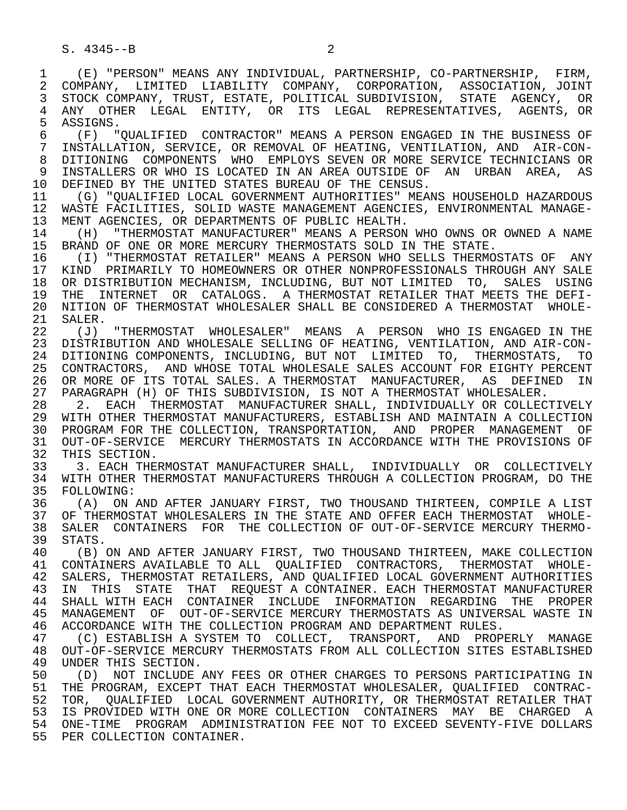4 ANY OTHER LEGAL ENTITY, OR ITS LEGAL REPRESENTATIVES, AGENTS, OR<br>5 ASSIGNS.  $5$  ASSIGNS.<br>6  $(F)$  "

 6 (F) "QUALIFIED CONTRACTOR" MEANS A PERSON ENGAGED IN THE BUSINESS OF 7 INSTALLATION, SERVICE, OR REMOVAL OF HEATING, VENTILATION, AND AIR-CON- 8 DITIONING COMPONENTS WHO EMPLOYS SEVEN OR MORE SERVICE TECHNICIANS OR<br>9 INSTALLERS OR WHO IS LOCATED IN AN AREA OUTSIDE OF AN URBAN AREA, AS 9 INSTALLERS OR WHO IS LOCATED IN AN AREA OUTSIDE OF AN URBAN AREA, AS<br>10 DEFINED BY THE UNITED STATES BUREAU OF THE CENSUS 10 DEFINED BY THE UNITED STATES BUREAU OF THE CENSUS.<br>11 (G) "OUALIFIED LOCAL GOVERNMENT AUTHORITIES" MEA

11 (G) "QUALIFIED LOCAL GOVERNMENT AUTHORITIES" MEANS HOUSEHOLD HAZARDOUS<br>12 WASTE FACILITIES, SOLID WASTE MANAGEMENT AGENCIES, ENVIRONMENTAL MANAGE-12 WASTE FACILITIES, SOLID WASTE MANAGEMENT AGENCIES, ENVIRONMENTAL MANAGE-<br>13 MENT AGENCIES. OR DEPARTMENTS OF PUBLIC HEALTH. 13 MENT AGENCIES, OR DEPARTMENTS OF PUBLIC HEALTH.<br>14 (H) "THERMOSTAT MANUFACTURER" MEANS A PERSON

14 (H) "THERMOSTAT MANUFACTURER" MEANS A PERSON WHO OWNS OR OWNED A NAME<br>15 BRAND OF ONE OR MORE MERCURY THERMOSTATS SOLD IN THE STATE. 15 BRAND OF ONE OR MORE MERCURY THERMOSTATS SOLD IN THE STATE.<br>16 (I) "THERMOSTAT RETAILER" MEANS A PERSON WHO SELLS THERMO

16 (I) "THERMOSTAT RETAILER" MEANS A PERSON WHO SELLS THERMOSTATS OF ANY<br>17 KIND PRIMARILY TO HOMEOWNERS OR OTHER NONPROFESSIONALS THROUGH ANY SALE 17 KIND PRIMARILY TO HOMEOWNERS OR OTHER NONPROFESSIONALS THROUGH ANY SALE<br>18 OR DISTRIBUTION MECHANISM, INCLUDING, BUT NOT LIMITED TO, SALES USING 18 OR DISTRIBUTION MECHANISM, INCLUDING, BUT NOT LIMITED TO, SALES USING<br>19 THE INTERNET OR CATALOGS, A THERMOSTAT RETAILER THAT MEETS THE DEFI-19 THE INTERNET OR CATALOGS. A THERMOSTAT RETAILER THAT MEETS THE DEFI-<br>20 NITION OF THERMOSTAT WHOLESALER SHALL BE CONSIDERED A THERMOSTAT WHOLE-20 NITION OF THERMOSTAT WHOLESALER SHALL BE CONSIDERED A THERMOSTAT WHOLE-<br>21 SALER. 21 SALER.<br>22 (J)

22 (J) "THERMOSTAT WHOLESALER" MEANS A PERSON WHO IS ENGAGED IN THE<br>23 DISTRIBUTION AND WHOLESALE SELLING OF HEATING, VENTILATION, AND AIR-CON- 23 DISTRIBUTION AND WHOLESALE SELLING OF HEATING, VENTILATION, AND AIR-CON- 24 DITIONING COMPONENTS, INCLUDING, BUT NOT LIMITED TO, THERMOSTATS, TO<br>25 CONTRACTORS, AND WHOSE TOTAL WHOLESALE SALES ACCOUNT FOR EIGHTY PERCENT 25 CONTRACTORS, AND WHOSE TOTAL WHOLESALE SALES ACCOUNT FOR EIGHTY PERCENT 26 OR MORE OF ITS TOTAL SALES. A THERMOSTAT MANUFACTURER, AS DEFINED IN<br>27 PARAGRAPH (H) OF THIS SUBDIVISION, IS NOT A THERMOSTAT WHOLESALER. 27 PARAGRAPH (H) OF THIS SUBDIVISION, IS NOT A THERMOSTAT WHOLESALER.<br>28 2. EACH THERMOSTAT MANUFACTURER SHALL, INDIVIDUALLY OR COLLECT

28 2. EACH THERMOSTAT MANUFACTURER SHALL, INDIVIDUALLY OR COLLECTIVELY<br>29 WITH OTHER THERMOSTAT MANUFACTURERS, ESTABLISH AND MAINTAIN A COLLECTION 29 WITH OTHER THERMOSTAT MANUFACTURERS, ESTABLISH AND MAINTAIN A COLLECTION<br>30 PROGRAM FOR THE COLLECTION, TRANSPORTATION, AND PROPER MANAGEMENT OF 30 PROGRAM FOR THE COLLECTION, TRANSPORTATION, AND PROPER MANAGEMENT OF<br>31 OUT-OF-SERVICE MERCURY THERMOSTATS IN ACCORDANCE WITH THE PROVISIONS OF 31 OUT-OF-SERVICE MERCURY THERMOSTATS IN ACCORDANCE WITH THE PROVISIONS OF<br>32 THIS SECTION. 32 THIS SECTION.<br>33 3. EACH THE

33 3. EACH THERMOSTAT MANUFACTURER SHALL, INDIVIDUALLY OR COLLECTIVELY<br>34 WITH OTHER THERMOSTAT MANUFACTURERS THROUGH A COLLECTION PROGRAM, DO THE 34 WITH OTHER THERMOSTAT MANUFACTURERS THROUGH A COLLECTION PROGRAM, DO THE 35 FOLLOWING: 35 FOLLOWING:<br>36 (A) ON

(A) ON AND AFTER JANUARY FIRST, TWO THOUSAND THIRTEEN, COMPILE A LIST 37 OF THERMOSTAT WHOLESALERS IN THE STATE AND OFFER EACH THERMOSTAT WHOLE-<br>38 SALER CONTAINERS FOR THE COLLECTION OF OUT-OF-SERVICE MERCURY THERMO-38 SALER CONTAINERS FOR THE COLLECTION OF OUT-OF-SERVICE MERCURY THERMO-<br>39 STATS. 39 STATS.<br>40 (B)

 40 (B) ON AND AFTER JANUARY FIRST, TWO THOUSAND THIRTEEN, MAKE COLLECTION 41 CONTAINERS AVAILABLE TO ALL QUALIFIED CONTRACTORS, THERMOSTAT WHOLE-<br>42 SALERS, THERMOSTAT RETAILERS, AND OUALIFIED LOCAL GOVERNMENT AUTHORITIES 42 SALERS, THERMOSTAT RETAILERS, AND QUALIFIED LOCAL GOVERNMENT AUTHORITIES<br>43 IN THIS STATE THAT REQUEST A CONTAINER, EACH THERMOSTAT MANUFACTURER 43 IN THIS STATE THAT REQUEST<sup>A</sup> CONTAINER. EACH-THERMOSTAT-MANUFACTURER<br>44 SHALL-WITH-EACH-CONTAINER INCLUDE INFORMATION REGARDING THE PROPER 44 SHALL WITH EACH CONTAINER INCLUDE INFORMATION REGARDING THE PROPER<br>45 MANAGEMENT OF OUT-OF-SERVICE-MERCURY-THERMOSTATS AS UNIVERSAL-WASTE-IN MANAGEMENT OF OUT-OF-SERVICE MERCURY THERMOSTATS AS UNIVERSAL WASTE IN 46 ACCORDANCE WITH THE COLLECTION PROGRAM AND DEPARTMENT RULES.<br>47 (C) ESTABLISH A SYSTEM TO COLLECT, TRANSPORT, AND PROP

 47 (C) ESTABLISH A SYSTEM TO COLLECT, TRANSPORT, AND PROPERLY MANAGE 48 OUT-OF-SERVICE MERCURY THERMOSTATS FROM ALL COLLECTION SITES ESTABLISHED 49 UNDER THIS SECTION.<br>50 (D) NOT INCLUDE

50 (D) NOT INCLUDE ANY FEES OR OTHER CHARGES TO PERSONS PARTICIPATING IN<br>51 THE PROGRAM, EXCEPT THAT EACH THERMOSTAT WHOLESALER, OUALIFIED CONTRAC-51 THE PROGRAM, EXCEPT THAT EACH THERMOSTAT WHOLESALER, QUALIFIED CONTRAC-<br>52 TOR, OUALIFIED LOCAL GOVERNMENT AUTHORITY, OR THERMOSTAT RETAILER THAT 52 TOR, QUALIFIED LOCAL GOVERNMENT AUTHORITY, OR THERMOSTAT RETAILER THAT<br>53 IS PROVIDED WITH ONE OR MORE COLLECTION CONTAINERS MAY BE CHARGED A 53 IS PROVIDED WITH ONE OR MORE COLLECTION CONTAINERS MAY BE CHARGED A<br>54 ONE-TIME, PROGRAM ADMINISTRATION FEE NOT TO EXCEED SEVENTY-FIVE DOLLARS 54 ONE-TIME PROGRAM ADMINISTRATION FEE NOT TO EXCEED SEVENTY-FIVE DOLLARS 55 PER COLLECTION CONTAINER.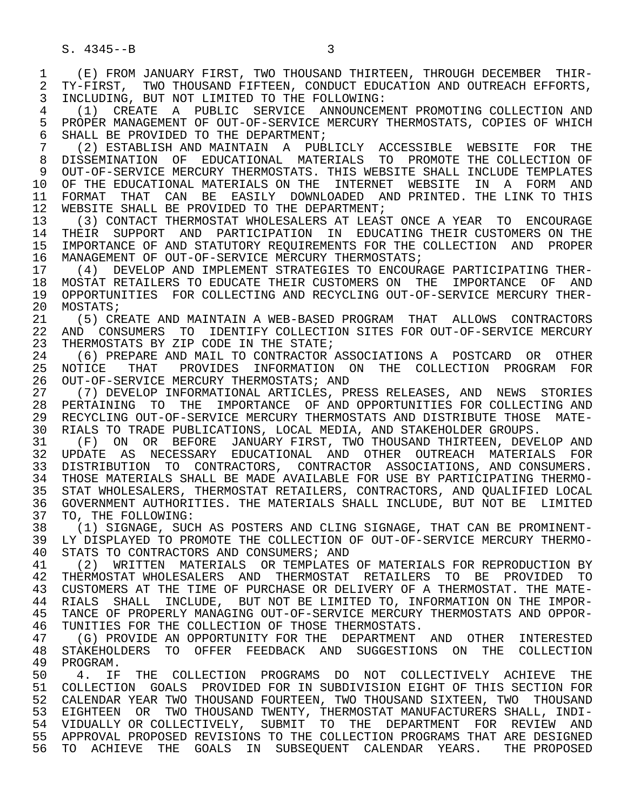1 (E) FROM JANUARY FIRST, TWO THOUSAND THIRTEEN, THROUGH DECEMBER THIR-<br>2 TY-FIRST, TWO THOUSAND FIFTEEN, CONDUCT EDUCATION AND OUTREACH EFFORTS, 2 TY-FIRST, TWO THOUSAND FIFTEEN, CONDUCT EDUCATION AND OUTREACH EFFORTS,<br>3 INCLUDING, BUT NOT LIMITED TO THE FOLLOWING: 3 INCLUDING, BUT NOT LIMITED TO THE FOLLOWING: 4 (1) CREATE A PUBLIC SERVICE ANNOUNCEMENT PROMOTING COLLECTION AND<br>5 PROPER MANAGEMENT OF OUT-OF-SERVICE MERCURY THERMOSTATS, COPIES OF WHICH 5 PROPER MANAGEMENT OF OUT-OF-SERVICE MERCURY THERMOSTATS, COPIES OF WHICH<br>6 SHALL BE PROVIDED TO THE DEPARTMENT; 6 SHALL BE PROVIDED TO THE DEPARTMENT;<br>7 (2) ESTABLISH AND MAINTAIN A PUB 7 (2) ESTABLISH AND MAINTAIN A PUBLICLY ACCESSIBLE WEBSITE FOR THE 8 DISSEMINATION OF EDUCATIONAL MATERIALS TO PROMOTE THE COLLECTION OF PROMOTE AND LATES SUPERMOSTATS. THIS WEBSITE SHALL INCLUDE TEMPLATES 9 OUT-OF-SERVICE MERCURY THERMOSTATS. THIS WEBSITE SHALL INCLUDE TEMPLATES<br>10 OF THE EDUCATIONAL MATERIALS ON THE INTERNET WEBSITE IN A FORM AND 10 OF THE EDUCATIONAL MATERIALS ON THE INTERNET WEBSITE IN A FORM AND<br>11 FORMAT THAT CAN BE EASILY DOWNLOADED AND PRINTED. THE LINK TO THIS 11 FORMAT THAT CAN BE EASILY DOWNLOADED AND PRINTED. THE LINK TO THIS<br>12 WEBSITE SHALL BE PROVIDED TO THE DEPARTMENT; 12 WEBSITE SHALL BE PROVIDED TO THE DEPARTMENT;<br>13 (3) CONTACT THERMOSTAT WHOLESALERS AT LEAS' 13 (3) CONTACT THERMOSTAT WHOLESALERS AT LEAST ONCE A YEAR TO ENCOURAGE<br>14 THEIR SUPPORT AND PARTICIPATION IN EDUCATING THEIR CUSTOMERS ON THE 14 THEIR SUPPORT AND PARTICIPATION IN EDUCATING THEIR CUSTOMERS ON THE 15 IMPORTANCE OF AND STATUTORY REQUIREMENTS FOR THE COLLECTION AND PROPER 16 MANAGEMENT OF OUT-OF-SERVICE MERCURY THERMOSTATS;<br>17 (4) DEVELOP AND IMPLEMENT STRATEGIES TO ENCOUR; 17 (4) DEVELOP AND IMPLEMENT STRATEGIES TO ENCOURAGE PARTICIPATING THER- 18 MOSTAT RETAILERS TO EDUCATE THEIR CUSTOMERS ON THE IMPORTANCE OF AND<br>19 OPPORTUNITIES FOR COLLECTING AND RECYCLING OUT-OF-SERVICE MERCURY THER-19 OPPORTUNITIES FOR COLLECTING AND RECYCLING OUT-OF-SERVICE MERCURY THER-<br>20 MOSTATS; 20 MOSTATS;<br>21 (5) CR 21 (5) CREATE AND MAINTAIN A WEB-BASED PROGRAM THAT ALLOWS CONTRACTORS<br>22 AND CONSUMERS TO IDENTIFY COLLECTION SITES FOR OUT-OF-SERVICE MERCURY 22 AND CONSUMERS TO IDENTIFY COLLECTION SITES FOR OUT-OF-SERVICE MERCURY<br>23 THERMOSTATS BY ZIP CODE IN THE STATE; 23 THERMOSTATS BY ZIP CODE IN THE STATE;<br>24 (6) PREPARE AND MAIL TO CONTRACTOR 24 (6) PREPARE AND MAIL TO CONTRACTOR ASSOCIATIONS A POSTCARD OR OTHER<br>25 NOTICE THAT PROVIDES INFORMATION ON THE COLLECTION PROGRAM FOR 25 NOTICE THAT PROVIDES INFORMATION ON THE COLLECTION PROGRAM FOR 26 OUT-OF-SERVICE MERCURY THERMOSTATS; AND<br>27 (7) DEVELOP INFORMATIONAL ARTICLES, PR 27 (7) DEVELOP INFORMATIONAL ARTICLES, PRESS RELEASES, AND NEWS STORIES<br>28 PERTAINING TO THE IMPORTANCE OF AND OPPORTUNITIES FOR COLLECTING AND 28 PERTAINING TO THE IMPORTANCE OF AND-OPPORTUNITIES FOR-COLLECTING AND 29 RECYCLING COLLECTING AND 29 RECYCLING 29 RECYCLING OUT-OF-SERVICE MERCURY THERMOSTATS AND DISTRIBUTE THOSE MATE-<br>30 RIALS TO TRADE PUBLICATIONS, LOCAL MEDIA, AND STAKEHOLDER GROUPS. 30 RIALS TO TRADE PUBLICATIONS, LOCAL MEDIA, AND STAKEHOLDER GROUPS.<br>31 (F) ON OR BEFORE JANUARY FIRST, TWO THOUSAND THIRTEEN, DEVEI 31 (F) ON OR BEFORE JANUARY FIRST, TWO THOUSAND THIRTEEN, DEVELOP AND<br>32 UPDATE AS NECESSARY EDUCATIONAL AND OTHER OUTREACH MATERIALS FOR 32 UPDATE AS NECESSARY EDUCATIONAL AND OTHER OUTREACH MATERIALS FOR<br>33 DISTRIBUTION TO CONTRACTORS, CONTRACTOR ASSOCIATIONS, AND-CONSUMERS, 33 DISTRIBUTION TO CONTRACTORS, CONTRACTOR ASSOCIATIONS, AND CONSUMERS. 34 THOSE MATERIALS SHALL BE MADE AVAILABLE FOR USE BY PARTICIPATING THERMO- 35 STAT WHOLESALERS, THERMOSTAT RETAILERS, CONTRACTORS, AND QUALIFIED LOCAL<br>36 GOVERNMENT AUTHORITIES. THE MATERIALS SHALL INCLUDE, BUT NOT BE LIMITED 36 GOVERNMENT AUTHORITIES. THE MATERIALS SHALL INCLUDE, BUT NOT BE LIMITED<br>37 TO, THE FOLLOWING: 37 TO, THE FOLLOWING:<br>38 (1) SIGNAGE, SUCI 38 (1) SIGNAGE, SUCH AS POSTERS AND CLING SIGNAGE, THAT CAN BE PROMINENT- 39 LY DISPLAYED TO PROMOTE THE COLLECTION OF OUT-OF-SERVICE MERCURY THERMO-<br>40 STATS TO CONTRACTORS AND CONSUMERS; AND 40 STATS TO CONTRACTORS AND CONSUMERS; AND 41 (2) WRITTEN MATERIALS OR TEMPLATES 41 (2) WRITTEN MATERIALS OR TEMPLATES OF MATERIALS FOR REPRODUCTION BY<br>42 THERMOSTAT WHOLESALERS AND THERMOSTAT RETAILERS TO BE PROVIDED TO 42 THERMOSTAT WHOLESALERS AND THERMOSTAT RETAILERS TO BE PROVIDED TO 43 CUSTOMERS AT THE TIME OF PURCHASE OR DELIVERY OF A THERMOSTAT, THE MATE-43 CUSTOMERS AT THE TIME OF PURCHASE OR DELIVERY OF A THERMOSTAT. THE MATE-<br>44 RIALS SHALL INCLUDE, BUT NOT BE LIMITED TO, INFORMATION ON THE IMPOR-44 RIALS SHALL INCLUDE, BUT NOT BE LIMITED TO, INFORMATION ON THE IMPOR-<br>45 TANCE OF PROPERLY MANAGING OUT-OF-SERVICE MERCURY THERMOSTATS AND OPPOR-TANCE OF PROPERLY MANAGING OUT-OF-SERVICE MERCURY THERMOSTATS AND OPPOR-46 TUNITIES FOR THE COLLECTION OF THOSE THERMOSTATS.<br>47 (G) PROVIDE AN OPPORTUNITY FOR THE DEPARTMENT 47 (G) PROVIDE AN OPPORTUNITY FOR THE DEPARTMENT AND OTHER INTERESTED<br>48 STAKEHOLDERS TO OFFER FEEDBACK AND SUGGESTIONS ON THE COLLECTION 48 STAKEHOLDERS TO OFFER FEEDBACK AND SUGGESTIONS ON THE COLLECTION 49 PROGRAM.<br>50 4. IF 50 4. IF THE COLLECTION PROGRAMS DO NOT COLLECTIVELY ACHIEVE THE<br>51 COLLECTION GOALS PROVIDED FOR IN SUBDIVISION EIGHT OF THIS SECTION FOR 51 COLLECTION GOALS PROVIDED FOR IN SUBDIVISION EIGHT OF THIS SECTION FOR 52 CALENDAR YEAR TWO THOUSAND FOURTEEN, TWO THOUSAND SIXTEEN, TWO THOUSAND

 53 EIGHTEEN OR TWO THOUSAND TWENTY, THERMOSTAT MANUFACTURERS SHALL, INDI- 54 VIDUALLY OR COLLECTIVELY, SUBMIT TO THE DEPARTMENT FOR REVIEW AND 55 APPROVAL PROPOSED REVISIONS TO THE COLLECTION PROGRAMS THAT ARE DESIGNED 56 TO ACHIEVE THE GOALS IN SUBSEQUENT CALENDAR YEARS. THE PROPOSED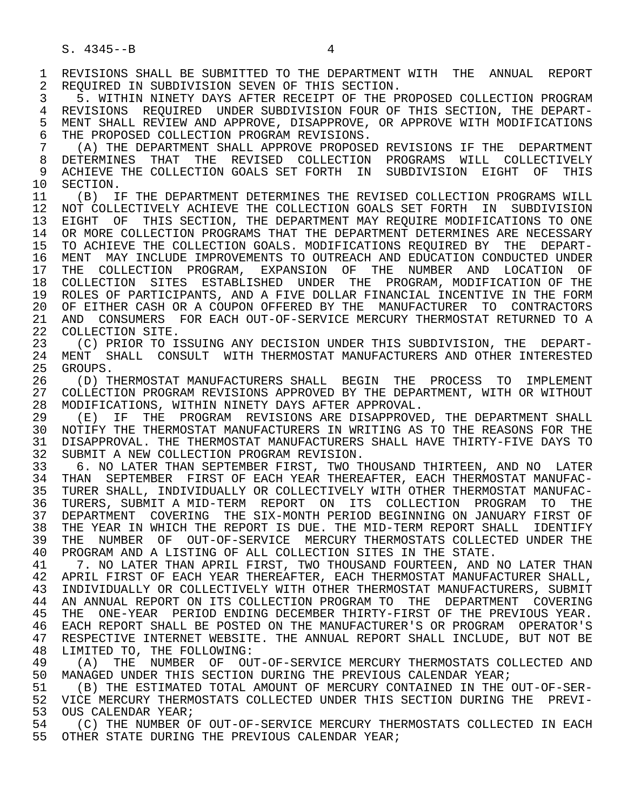1 REVISIONS SHALL BE SUBMITTED TO THE DEPARTMENT WITH THE ANNUAL REPORT<br>2 REOUIRED IN SUBDIVISION SEVEN OF THIS SECTION. 2 REQUIRED IN SUBDIVISION SEVEN OF THIS SECTION.<br>3 5. WITHIN NINETY DAYS AFTER RECEIPT OF THE P.

 3 5. WITHIN NINETY DAYS AFTER RECEIPT OF THE PROPOSED COLLECTION PROGRAM 4 REVISIONS REQUIRED UNDER SUBDIVISION FOUR OF THIS SECTION, THE DEPART-<br>5 MENT SHALL REVIEW AND APPROVE, DISAPPROVE, OR APPROVE WITH MODIFICATIONS 5 MENT SHALL REVIEW AND APPROVE, DISAPPROVE, OR APPROVE WITH MODIFICATIONS<br>6 THE PROPOSED COLLECTION PROGRAM REVISIONS. 6 THE PROPOSED COLLECTION PROGRAM REVISIONS.<br>7 (A) THE DEPARTMENT SHALL APPROVE PROPOSE

7 (A) THE DEPARTMENT SHALL APPROVE PROPOSED REVISIONS IF THE DEPARTMENT<br>8 DETERMINES THAT THE REVISED COLLECTION PROGRAMS WILL COLLECTIVELY 8 DETERMINES THAT THE REVISED COLLECTION PROGRAMS WILL COLLECTIVELY<br>9 ACHIEVE THE COLLECTION GOALS SET FORTH IN SUBDIVISION EIGHT OF THIS 9 ACHIEVE THE COLLECTION GOALS SET FORTH IN SUBDIVISION EIGHT OF THIS<br>10 SECTION. 10 SECTION.<br>11 (B) I

(B) IF THE DEPARTMENT DETERMINES THE REVISED COLLECTION PROGRAMS WILL 12 NOT COLLECTIVELY ACHIEVE THE COLLECTION GOALS SET FORTH IN SUBDIVISION 13 EIGHT OF THIS SECTION, THE DEPARTMENT MAY REQUIRE MODIFICATIONS TO ONE<br>14 OR MORE COLLECTION PROGRAMS THAT THE DEPARTMENT DETERMINES ARE NECESSARY OR MORE COLLECTION PROGRAMS THAT THE DEPARTMENT DETERMINES ARE NECESSARY 15 TO ACHIEVE THE COLLECTION GOALS. MODIFICATIONS REQUIRED BY THE DEPART- 16 MENT MAY INCLUDE IMPROVEMENTS TO OUTREACH AND EDUCATION CONDUCTED UNDER<br>17 THE COLLECTION PROGRAM, EXPANSION OF THE NUMBER AND LOCATION OF THE COLLECTION PROGRAM, EXPANSION OF THE NUMBER AND LOCATION OF 18 COLLECTION SITES ESTABLISHED UNDER THE PROGRAM, MODIFICATION OF THE 19 ROLES OF PARTICIPANTS, AND A FIVE DOLLAR FINANCIAL INCENTIVE IN THE FORM 20 OF EITHER CASH OR A COUPON OFFERED BY THE MANUFACTURER TO CONTRACTORS<br>21 AND CONSUMERS FOR EACH OUT-OF-SERVICE MERCURY THERMOSTAT RETURNED TO A 21 AND CONSUMERS FOR EACH OUT-OF-SERVICE MERCURY THERMOSTAT RETURNED TO A 22 COLLECTION SITE. 22 COLLECTION SITE.<br>23 (C) PRIOR TO I

 23 (C) PRIOR TO ISSUING ANY DECISION UNDER THIS SUBDIVISION, THE DEPART- 24 MENT SHALL CONSULT WITH THERMOSTAT MANUFACTURERS AND OTHER INTERESTED<br>25 GROUPS. GROUPS.

26 (D) THERMOSTAT MANUFACTURERS SHALL BEGIN THE PROCESS TO IMPLEMENT<br>27 COLLECTION PROGRAM REVISIONS APPROVED BY THE DEPARTMENT, WITH OR WITHOUT 27 COLLECTION PROGRAM REVISIONS APPROVED BY THE DEPARTMENT, WITH OR WITHOUT 28 MODIFICATIONS, WITHIN NINETY DAYS AFTER APPROVAL. 28 MODIFICATIONS, WITHIN NINETY DAYS AFTER APPROVAL.<br>29 (E) IF THE PROGRAM REVISIONS ARE DISAPPROVE

29 (E) IF THE PROGRAM REVISIONS ARE DISAPPROVED, THE DEPARTMENT SHALL<br>30 NOTIFY THE THERMOSTAT MANUFACTURERS IN WRITING AS TO THE REASONS FOR THE 30 NOTIFY THE THERMOSTAT MANUFACTURERS IN WRITING AS TO THE REASONS FOR THE 31 DISAPPROVAL. THE THERMOSTAT MANUFACTURERS SHALL HAVE THIRTY-FIVE DAYS TO 31 DISAPPROVAL. THE THERMOSTAT MANUFACTURERS SHALL HAVE THIRTY-FIVE DAYS TO 32 SUBMIT A NEW COLLECTION PROGRAM REVISION. 32 SUBMIT A NEW COLLECTION PROGRAM REVISION.<br>33 6. NO LATER THAN SEPTEMBER FIRST, TWO T

33 6. NO LATER THAN SEPTEMBER FIRST, TWO THOUSAND THIRTEEN, AND NO LATER<br>34 THAN SEPTEMBER FIRST OF EACH YEAR THEREAFTER, EACH THERMOSTAT MANUFAC-34 THAN SEPTEMBER FIRST OF EACH YEAR THEREAFTER, EACH THERMOSTAT MANUFAC-<br>35 TURER SHALL, INDIVIDUALLY OR COLLECTIVELY WITH OTHER THERMOSTAT MANUFAC-TURER SHALL, INDIVIDUALLY OR COLLECTIVELY WITH OTHER THERMOSTAT MANUFAC- 36 TURERS, SUBMIT A MID-TERM REPORT ON ITS COLLECTION PROGRAM TO THE 37 DEPARTMENT COVERING THE SIX-MONTH PERIOD BEGINNING ON JANUARY FIRST OF<br>38 THE YEAR IN WHICH THE REPORT IS DUE. THE MID-TERM REPORT SHALL IDENTIFY 38 THE YEAR IN WHICH THE REPORT IS DUE. THE MID-TERM REPORT SHALL IDENTIFY<br>39 THE NUMBER OF OUT-OF-SERVICE MERCURY THERMOSTATS COLLECTED UNDER THE 39 THE NUMBER OF OUT-OF-SERVICE MERCURY THERMOSTATS COLLECTED UNDER THE 40 PROGRAM AND A LISTING OF ALL COLLECTION SITES IN THE STATE. 40 PROGRAM AND A LISTING OF ALL COLLECTION SITES IN THE STATE.<br>41 7. NO LATER THAN APRIL FIRST, TWO THOUSAND FOURTEEN, AND I

41 T. NO LATER THAN APRIL FIRST, TWO THOUSAND FOURTEEN, AND NO LATER THAN 42 APRIL FIRST OF EACH YEAR THEREAFTER, EACH THERMOSTAT MANUFACTURER SHALL, 42 APRIL FIRST OF EACH YEAR THEREAFTER, EACH THERMOSTAT MANUFACTURER SHALL,<br>43 INDIVIDUALLY OR COLLECTIVELY WITH OTHER THERMOSTAT MANUFACTURERS, SUBMIT 43 INDIVIDUALLY OR COLLECTIVELY WITH OTHER THERMOSTAT MANUFACTURERS, SUBMIT<br>44 AN ANNUAL REPORT ON ITS COLLECTION PROGRAM TO THE DEPARTMENT COVERING 44 AN ANNUAL REPORT ON ITS COLLECTION PROGRAM TO THE DEPARTMENT COVERING<br>45 THE ONE-YEAR PERIOD ENDING DECEMBER THIRTY-FIRST OF THE PREVIOUS YEAR. THE ONE-YEAR PERIOD ENDING DECEMBER THIRTY-FIRST OF THE PREVIOUS YEAR. 46 EACH REPORT SHALL BE POSTED ON THE MANUFACTURER'S OR PROGRAM OPERATOR'S<br>47 RESPECTIVE INTERNET WEBSITE. THE ANNUAL REPORT SHALL INCLUDE, BUT NOT BE 47 RESPECTIVE INTERNET WEBSITE. THE ANNUAL REPORT SHALL INCLUDE, BUT NOT BE 48 LIMITED TO, THE FOLLOWING: 48 LIMITED TO, THE FOLLOWING:<br>49 (A) THE NUMBER OF OU

49 (A) THE NUMBER OF OUT-OF-SERVICE MERCURY THERMOSTATS COLLECTED AND 49 (A) THE NUMBER OF OUT-OF-SERVICE MERCURY THERMOSTATS COLLECTED AND 50 MANAGED UNDER THIS SECTION DURING THE PREVIOUS CALENDAR YEAR;<br>51 (B) THE ESTIMATED TOTAL AMOUNT OF MERCURY CONTAINED IN THE

51 (B) THE ESTIMATED TOTAL AMOUNT OF MERCURY CONTAINED IN THE OUT-OF-SER-<br>52 VICE MERCURY THERMOSTATS COLLECTED UNDER THIS SECTION DURING THE PREVI-VICE MERCURY THERMOSTATS COLLECTED UNDER THIS SECTION DURING THE PREVI-53 OUS CALENDAR YEAR;<br>54 (C) THE NUMBER OF

 54 (C) THE NUMBER OF OUT-OF-SERVICE MERCURY THERMOSTATS COLLECTED IN EACH 55 OTHER STATE DURING THE PREVIOUS CALENDAR YEAR;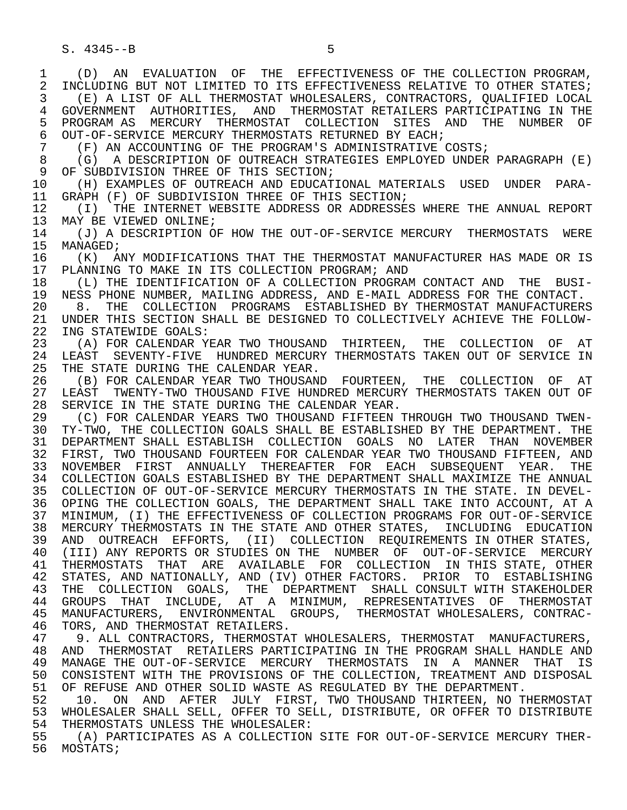1 (D) AN EVALUATION OF THE EFFECTIVENESS OF THE COLLECTION PROGRAM,<br>2 INCLUDING BUT NOT LIMITED TO ITS EFFECTIVENESS RELATIVE TO OTHER STATES; 2 INCLUDING BUT NOT LIMITED TO ITS EFFECTIVENESS RELATIVE TO OTHER STATES;<br>3 (E) A LIST OF ALL THERMOSTAT WHOLESALERS, CONTRACTORS, OUALIFIED LOCAL (E) A LIST OF ALL THERMOSTAT WHOLESALERS, CONTRACTORS, OUALIFIED LOCAL 4 GOVERNMENT AUTHORITIES, AND THERMOSTAT—RETAILERS—PARTICIPATING IN THE SUPERTY OF THE RETAILLERY OF 5 PROGRAM AS MERCURY THERMOSTAT COLLECTION SITES AND THE NUMBER OF<br>6 OUT-OF-SERVICE MERCURY THERMOSTATS RETURNED BY EACH; 6 OUT-OF-SERVICE MERCURY THERMOSTATS RETURNED BY EACH;<br>7 (F) AN ACCOUNTING OF THE PROGRAM'S ADMINISTRATIVE 7 (F) AN ACCOUNTING OF THE PROGRAM'S ADMINISTRATIVE COSTS;<br>8 (G) A DESCRIPTION OF OUTREACH STRATEGIES EMPLOYED UNDER 8 (G) A DESCRIPTION OF OUTREACH STRATEGIES EMPLOYED UNDER PARAGRAPH (E)<br>9 OF SUBDIVISION THREE OF THIS SECTION; 9 OF SUBDIVISION THREE OF THIS SECTION;<br>10 (H) EXAMPLES OF OUTREACH AND EDUCAT 10 (H) EXAMPLES OF OUTREACH AND EDUCATIONAL MATERIALS USED UNDER PARA-<br>11 GRAPH (F) OF SUBDIVISION THREE OF THIS SECTION; 11 GRAPH (F) OF SUBDIVISION THREE OF THIS SECTION;<br>12 (I) THE INTERNET WEBSITE ADDRESS OR ADDRESSE 12 (I) THE INTERNET WEBSITE ADDRESS OR ADDRESSES WHERE THE ANNUAL REPORT 13 MAY BE VIEWED ONLINE; 13 MAY BE VIEWED ONLINE;<br>14 (J) A DESCRIPTION O 14 (J) A DESCRIPTION OF HOW THE OUT-OF-SERVICE MERCURY THERMOSTATS WERE<br>15 MANAGED; 15 MANAGED;<br>16 (K) A 16 (K) ANY MODIFICATIONS THAT THE THERMOSTAT MANUFACTURER HAS MADE OR IS<br>17 PLANNING TO MAKE IN ITS COLLECTION PROGRAM; AND 17 PLANNING TO MAKE IN ITS COLLECTION PROGRAM; AND 18 (L) THE IDENTIFICATION OF A COLLECTION PROGRAM 18 (L) THE IDENTIFICATION OF A COLLECTION PROGRAM CONTACT AND THE BUSI-<br>19 NESS PHONE NUMBER, MAILING ADDRESS, AND E-MAIL ADDRESS FOR THE CONTACT. 19 NESS PHONE NUMBER, MAILING ADDRESS, AND E-MAIL ADDRESS FOR THE CONTACT.<br>20 8. THE COLLECTION PROGRAMS ESTABLISHED BY THERMOSTAT MANUFACTURER 20 8. THE COLLECTION PROGRAMS ESTABLISHED BY THERMOSTAT MANUFACTURERS<br>21 UNDER THIS SECTION SHALL BE DESIGNED TO COLLECTIVELY ACHIEVE THE FOLLOW-21 UNDER THIS SECTION SHALL BE DESIGNED TO COLLECTIVELY ACHIEVE THE FOLLOW-<br>22 ING STATEWIDE GOALS: 22 ING STATEWIDE GOALS:<br>23 (A) FOR CALENDAR Y (A) FOR CALENDAR YEAR TWO THOUSAND THIRTEEN, THE COLLECTION OF AT 24 LEAST SEVENTY-FIVE HUNDRED MERCURY THERMOSTATS TAKEN OUT OF SERVICE IN<br>25 THE STATE DURING THE CALENDAR YEAR THE STATE DURING THE CALENDAR YEAR. 26 (B) FOR CALENDAR YEAR TWO THOUSAND FOURTEEN, THE COLLECTION OF AT<br>27 LEAST TWENTY-TWO THOUSAND FIVE HUNDRED MERCURY THERMOSTATS TAKEN OUT OF 27 LEAST TWENTY-TWO THOUSAND FIVE HUNDRED MERCURY THERMOSTATS TAKEN OUT OF<br>28 SERVICE IN THE STATE DURING THE CALENDAR YEAR. 28 SERVICE IN THE STATE DURING THE CALENDAR YEAR.<br>29 (C) FOR CALENDAR YEARS TWO THOUSAND FIFTEEN ! 29 (C) FOR CALENDAR YEARS TWO THOUSAND FIFTEEN THROUGH TWO THOUSAND TWEN-<br>30 TY-TWO, THE COLLECTION GOALS SHALL BE ESTABLISHED BY THE DEPARTMENT, THE TY-TWO, THE COLLECTION GOALS SHALL BE ESTABLISHED BY THE DEPARTMENT. THE 31 DEPARTMENT SHALL ESTABLISH COLLECTION GOALS NO LATER THAN NOVEMBER<br>32 FIRST, TWO THOUSAND FOURTEEN FOR CALENDAR YEAR TWO THOUSAND FIFTEEN, AND 32 FIRST, TWO THOUSAND FOURTEEN FOR CALENDAR YEAR TWO THOUSAND FIFTEEN, AND 33 NOVEMBER FIRST ANNUALLY THEREAFTER FOR EACH SUBSEQUENT YEAR. THE 34 COLLECTION GOALS ESTABLISHED BY THE DEPARTMENT SHALL MAXIMIZE THE ANNUAL 35 COLLECTION OF OUT-OF-SERVICE MERCURY THERMOSTATS IN THE STATE. IN DEVEL- 36 OPING THE COLLECTION GOALS, THE DEPARTMENT SHALL TAKE INTO ACCOUNT, AT A 37 MINIMUM, (I) THE EFFECTIVENESS OF COLLECTION PROGRAMS FOR OUT-OF-SERVICE 38 MERCURY THERMOSTATS IN THE STATE AND OTHER STATES, INCLUDING EDUCATION<br>39 AND OUTREACH EFFORTS, (II) COLLECTION REOUIREMENTS IN OTHER STATES, 39 AND OUTREACH EFFORTS, (II) COLLECTION REQUIREMENTS IN OTHER STATES,<br>40 (III) ANY REPORTS OR STUDIES ON THE NUMBER OF OUT-OF-SERVICE MERCURY (III) ANY REPORTS OR STUDIES ON THE NUMBER OF OUT-OF-SERVICE MERCURY 41 THERMOSTATS THAT ARE AVAILABLE FOR COLLECTION INTHISSTATE, OTHER 42 STATES: AND NATIONALLY, AND (IV) OTHER FACTORS, PRIOR TO ESTABLISHING 42 STATES, AND NATIONALLY, AND (IV) OTHER FACTORS. PRIOR TO ESTABLISHING<br>43 THE COLLECTION GOALS. THE DEPARTMENT SHALL CONSULT WITH STAKEHOLDER 43 THE COLLECTION GOALS, THE DEPARTMENT SHALL-CONSULT-WITH-STAKEHOLDER<br>44 GROUPS THAT INCLUDE, AT A MINIMUM, REPRESENTATIVES OF THERMOSTAT 44 GROUPS THAT INCLUDE, AT A MINIMUM, REPRESENTATIVES OF THERMOSTAT<br>45 MANUFACTURERS, ENVIRONMENTAL GROUPS, THERMOSTAT-WHOLESALERS, CONTRAC-MANUFACTURERS, ENVIRONMENTAL GROUPS, THERMOSTAT WHOLESALERS, CONTRAC-

46 TORS, AND THERMOSTAT RETAILERS.<br>47 9 ALL CONTRACTORS, THERMOSTAT 47 9. ALL CONTRACTORS, THERMOSTAT WHOLESALERS, THERMOSTAT MANUFACTURERS,<br>48 AND THERMOSTAT RETAILERS PARTICIPATING IN THE PROGRAM SHALL HANDLE AND 48 AND THERMOSTAT RETAILERS PARTICIPATING IN THE PROGRAM SHALL HANDLE AND<br>49 MANAGE THE OUT-OF-SERVICE MERCURY THERMOSTATS IN A MANNER THAT IS 49 MANAGE THE OUT-OF-SERVICE MERCURY THERMOSTATS IN A MANNER THAT IS<br>50 CONSISTENT WITH THE PROVISIONS OF THE COLLECTION, TREATMENT AND DISPOSAL 50 CONSISTENT WITH THE PROVISIONS OF THE COLLECTION, TREATMENT AND DISPOSAL<br>51 OF REFUSE AND OTHER SOLID WASTE AS REGULATED BY THE DEPARTMENT.

51 OF REFUSE AND OTHER SOLID WASTE AS REGULATED BY THE DEPARTMENT.<br>52 10. ON AND AFTER JULY FIRST, TWO THOUSAND THIRTEEN, NO T 52 10. ON AND AFTER JULY FIRST, TWO THOUSAND THIRTEEN, NO THERMOSTAT<br>53 WHOLESALER SHALL SELL, OFFER TO SELL, DISTRIBUTE, OR OFFER TO DISTRIBUTE 53 WHOLESALER SHALL SELL, OFFER TO SELL, DISTRIBUTE, OR OFFER TO DISTRIBUTE<br>54 THERMOSTATS UNLESS THE WHOLESALER: 54 THERMOSTATS UNLESS THE WHOLESALER:<br>55 (A) PARTICIPATES AS A COLLECTION

 55 (A) PARTICIPATES AS A COLLECTION SITE FOR OUT-OF-SERVICE MERCURY THER- 56 MOSTATS;